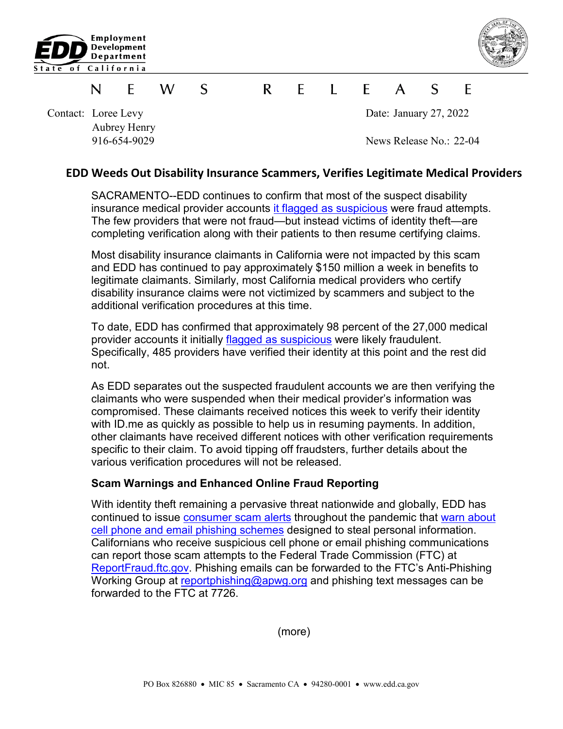



## S  $\mathsf{R}$  $\mathsf{F}$  $\blacksquare$  $\mathsf{A}$  $\mathcal{S}$ F W F N

Aubrey Henry

Contact: Loree Levy Date: January 27, 2022

916-654-9029 News Release No.: 22-04

## **EDD Weeds Out Disability Insurance Scammers, Verifies Legitimate Medical Providers**

SACRAMENTO--EDD continues to confirm that most of the suspect disability insurance medical provider accounts [it flagged as suspicious](http://134.186.201.163/About_EDD/pdf/news-21-69.pdf) were fraud attempts. The few providers that were not fraud—but instead victims of identity theft—are completing verification along with their patients to then resume certifying claims.

Most disability insurance claimants in California were not impacted by this scam and EDD has continued to pay approximately \$150 million a week in benefits to legitimate claimants. Similarly, most California medical providers who certify disability insurance claims were not victimized by scammers and subject to the additional verification procedures at this time.

To date, EDD has confirmed that approximately 98 percent of the 27,000 medical provider accounts it initially [flagged as suspicious](http://134.186.201.163/About_EDD/pdf/news-21-69.pdf) were likely fraudulent. Specifically, 485 providers have verified their identity at this point and the rest did not.

As EDD separates out the suspected fraudulent accounts we are then verifying the claimants who were suspended when their medical provider's information was compromised. These claimants received notices this week to verify their identity with ID.me as quickly as possible to help us in resuming payments. In addition, other claimants have received different notices with other verification requirements specific to their claim. To avoid tipping off fraudsters, further details about the various verification procedures will not be released.

## **Scam Warnings and Enhanced Online Fraud Reporting**

With identity theft remaining a pervasive threat nationwide and globally, EDD has continued to issue [consumer scam alerts](https://edd.ca.gov/About_EDD/pdf/news-21-46.pdf) throughout the pandemic that [warn about](https://edd.ca.gov/About_EDD/pdf/news-21-30.pdf)  [cell phone and email](https://edd.ca.gov/About_EDD/pdf/news-21-30.pdf) phishing schemes designed to steal personal information. Californians who receive suspicious cell phone or email phishing communications can report those scam attempts to the Federal Trade Commission (FTC) at [ReportFraud.ftc.gov.](https://reportfraud.ftc.gov/#/) Phishing emails can be forwarded to the FTC's Anti-Phishing Working Group at [reportphishing@apwg.org](mailto:reportphishing@apwg.org) and phishing text messages can be forwarded to the FTC at 7726.

(more)